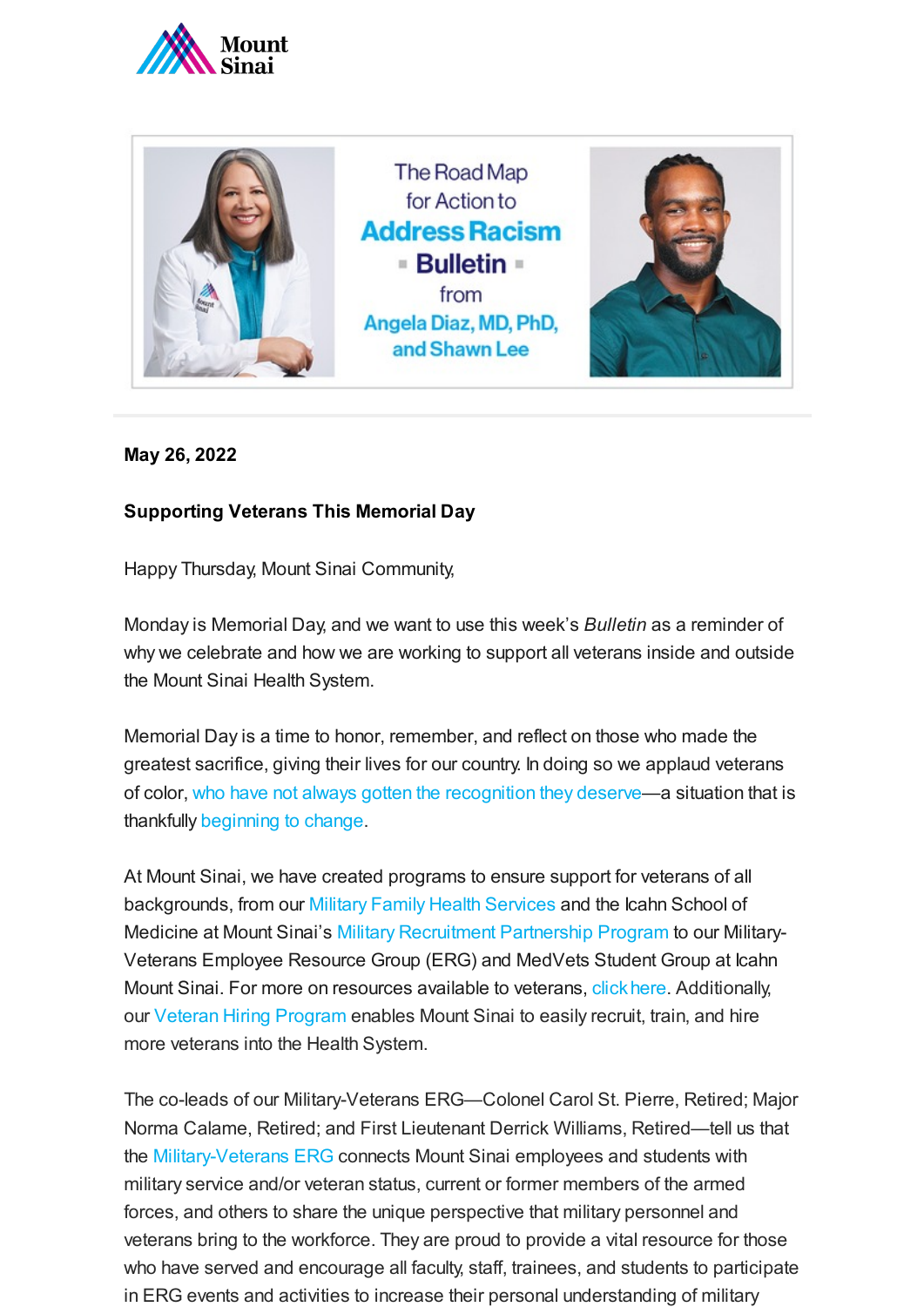



## **May 26, 2022**

## **Supporting Veterans This Memorial Day**

Happy Thursday, Mount Sinai Community,

Monday is Memorial Day, and we want to use this week's *Bulletin* as a reminder of why we celebrate and how we are working to support all veterans inside and outside the Mount Sinai Health System.

Memorial Day is a time to honor, remember, and reflect on those who made the greatest sacrifice, giving their lives for our country. In doing so we applaud veterans of color, who have not [always gotten](https://eji.org/reports/targeting-black-veterans/) the recognition they deserve—a situation that is thankfully [beginning](https://www.legion.org/honor/254960/revisiting-valorous-actions-black-veterans) to change.

At Mount Sinai, we have created programs to ensure support for veterans of all backgrounds, from our Military Family Health [Services](https://www.mountsinai.org/care/military-family-health) and the Icahn School of Medicine at Mount Sinai's Military [Recruitment](https://health.mountsinai.org/blog/a-new-mount-sinai-partnership-with-the-u-s-military-gets-underway/) Partnership Program to our Military-Veterans Employee Resource Group (ERG) and MedVets Student Group at Icahn Mount Sinai. For more on resources available to veterans, [click here.](https://veterans.ny.gov/) Additionally, our Veteran Hiring [Program](https://www.prnewswire.com/news-releases/mount-sinai-health-system-teams-up-with-workforce-opportunity-services-in-supporting-our-veterans-300877947.html) enables Mount Sinai to easily recruit, train, and hire more veterans into the Health System.

The co-leads of our Military-Veterans ERG—Colonel Carol St. Pierre, Retired; Major Norma Calame, Retired; and First Lieutenant Derrick Williams, Retired—tell us that the [Military-Veterans ERG](https://docs.google.com/forms/d/e/1FAIpQLSeO98dw35oq4VOX0k2PJgEe2ulX_roBTJGLVPMNuuhBdn9mEQ/viewform?c=0&w=1) connects Mount Sinai employees and students with military service and/or veteran status, current or former members of the armed forces, and others to share the unique perspective that military personnel and veterans bring to the workforce. They are proud to provide a vital resource for those who have served and encourage all faculty, staff, trainees, and students to participate in ERG events and activities to increase their personal understanding of military